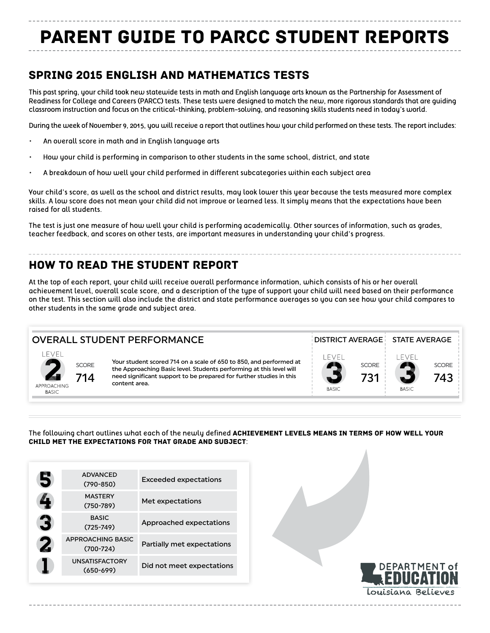# PARENT GUIDE TO PARCC STUDENT REPORTS

## SPRING 2015 ENGLISH AND MATHEMATICS TESTS

This past spring, your child took new statewide tests in math and English language arts known as the Partnership for Assessment of Readiness for College and Careers (PARCC) tests. These tests were designed to match the new, more rigorous standards that are guiding classroom instruction and focus on the critical-thinking, problem-solving, and reasoning skills students need in today's world.

During the week of November 9, 2015, you will receive a report that outlines how your child performed on these tests. The report includes:

- An overall score in math and in English language arts
- How your child is performing in comparison to other students in the same school, district, and state
- A breakdown of how well your child performed in different subcategories within each subject area

Your child's score, as well as the school and district results, may look lower this year because the tests measured more complex skills. A low score does not mean your child did not improve or learned less. It simply means that the expectations have been raised for all students.

The test is just one measure of how well your child is performing academically. Other sources of information, such as grades, teacher feedback, and scores on other tests, are important measures in understanding your child's progress.

# HOW TO READ THE STUDENT REPORT

At the top of each report, your child will receive overall performance information, which consists of his or her overall achievement level, overall scale score, and a description of the type of support your child will need based on their performance on the test. This section will also include the district and state performance averages so you can see how your child compares to other students in the same grade and subject area.

#### OVERALL STUDENT PERFORMANCE ALL CONTRIGUES IN STRICT AVERAGE STATE AVERAGE



Your student scored 714 on a scale of 650 to 850, and performed at the Approaching Basic level. Students performing at this level will need significant support to be prepared for further studies in this content area.



The following chart outlines what each of the newly defined ACHIEVEMENT LEVELS MEANS IN TERMS OF HOW WELL YOUR child met the expectations for that grade and subject:

| <b>ADVANCED</b><br>$(790 - 850)$       | <b>Exceeded expectations</b>      |
|----------------------------------------|-----------------------------------|
| <b>MASTERY</b><br>$(750 - 789)$        | Met expectations                  |
| <b>BASIC</b><br>$(725 - 749)$          | Approached expectations           |
| APPROACHING BASIC<br>$(700 - 724)$     | <b>Partially met expectations</b> |
| <b>UNSATISFACTORY</b><br>$(650 - 699)$ | Did not meet expectations         |
|                                        |                                   |